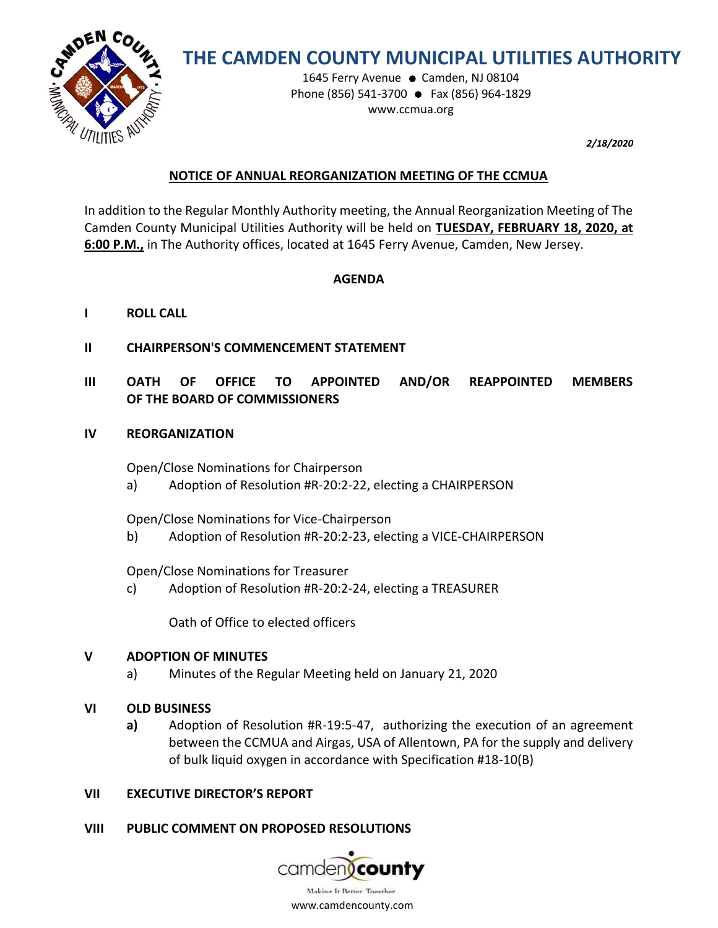

# **THE CAMDEN COUNTY MUNICIPAL UTILITIES AUTHORITY**

1645 Ferry Avenue ● Camden, NJ 08104 Phone (856) 541-3700 ● Fax (856) 964-1829 www.ccmua.org

*2/18/2020*

# **NOTICE OF ANNUAL REORGANIZATION MEETING OF THE CCMUA**

In addition to the Regular Monthly Authority meeting, the Annual Reorganization Meeting of The Camden County Municipal Utilities Authority will be held on **TUESDAY, FEBRUARY 18, 2020, at 6:00 P.M.,** in The Authority offices, located at 1645 Ferry Avenue, Camden, New Jersey.

## **AGENDA**

- **I ROLL CALL**
- **II CHAIRPERSON'S COMMENCEMENT STATEMENT**
- **III OATH OF OFFICE TO APPOINTED AND/OR REAPPOINTED MEMBERS OF THE BOARD OF COMMISSIONERS**
- **IV REORGANIZATION**

Open/Close Nominations for Chairperson

a) Adoption of Resolution #R-20:2-22, electing a CHAIRPERSON

Open/Close Nominations for Vice-Chairperson

b) Adoption of Resolution #R-20:2-23, electing a VICE-CHAIRPERSON

Open/Close Nominations for Treasurer

c) Adoption of Resolution #R-20:2-24, electing a TREASURER

Oath of Office to elected officers

### **V ADOPTION OF MINUTES**

- a) Minutes of the Regular Meeting held on January 21, 2020
- **VI OLD BUSINESS**
	- **a)** Adoption of Resolution #R-19:5-47, authorizing the execution of an agreement between the CCMUA and Airgas, USA of Allentown, PA for the supply and delivery of bulk liquid oxygen in accordance with Specification #18-10(B)

### **VII EXECUTIVE DIRECTOR'S REPORT**

**VIII PUBLIC COMMENT ON PROPOSED RESOLUTIONS**

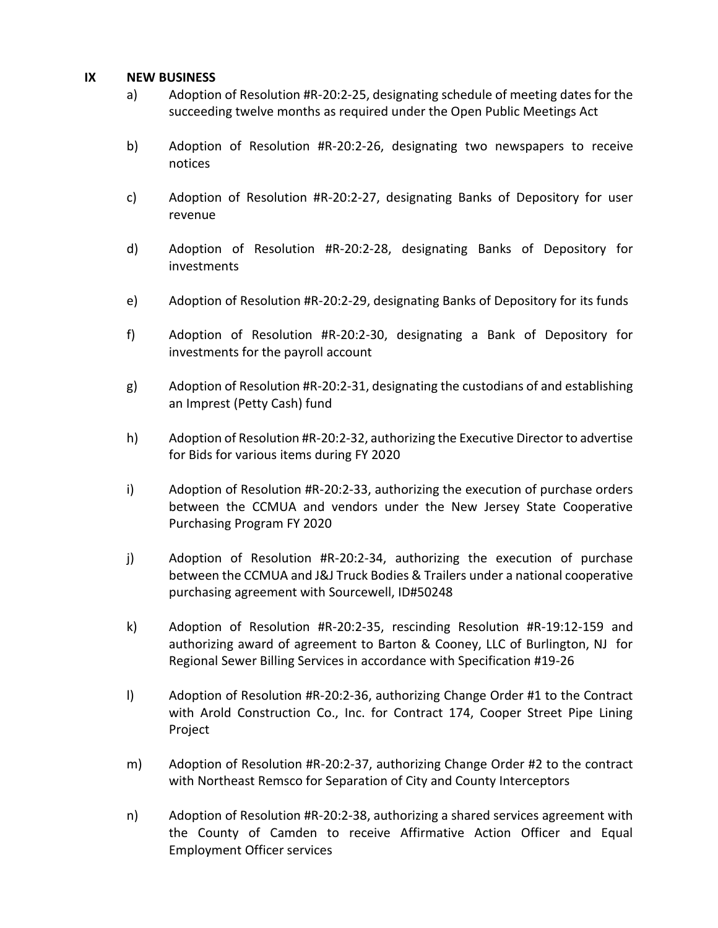#### **IX NEW BUSINESS**

- a) Adoption of Resolution #R-20:2-25, designating schedule of meeting dates for the succeeding twelve months as required under the Open Public Meetings Act
- b) Adoption of Resolution #R-20:2-26, designating two newspapers to receive notices
- c) Adoption of Resolution #R-20:2-27, designating Banks of Depository for user revenue
- d) Adoption of Resolution #R-20:2-28, designating Banks of Depository for investments
- e) Adoption of Resolution #R-20:2-29, designating Banks of Depository for its funds
- f) Adoption of Resolution #R-20:2-30, designating a Bank of Depository for investments for the payroll account
- g) Adoption of Resolution #R-20:2-31, designating the custodians of and establishing an Imprest (Petty Cash) fund
- h) Adoption of Resolution #R-20:2-32, authorizing the Executive Director to advertise for Bids for various items during FY 2020
- i) Adoption of Resolution #R-20:2-33, authorizing the execution of purchase orders between the CCMUA and vendors under the New Jersey State Cooperative Purchasing Program FY 2020
- j) Adoption of Resolution #R-20:2-34, authorizing the execution of purchase between the CCMUA and J&J Truck Bodies & Trailers under a national cooperative purchasing agreement with Sourcewell, ID#50248
- k) Adoption of Resolution #R-20:2-35, rescinding Resolution #R-19:12-159 and authorizing award of agreement to Barton & Cooney, LLC of Burlington, NJ for Regional Sewer Billing Services in accordance with Specification #19-26
- l) Adoption of Resolution #R-20:2-36, authorizing Change Order #1 to the Contract with Arold Construction Co., Inc. for Contract 174, Cooper Street Pipe Lining Project
- m) Adoption of Resolution #R-20:2-37, authorizing Change Order #2 to the contract with Northeast Remsco for Separation of City and County Interceptors
- n) Adoption of Resolution #R-20:2-38, authorizing a shared services agreement with the County of Camden to receive Affirmative Action Officer and Equal Employment Officer services